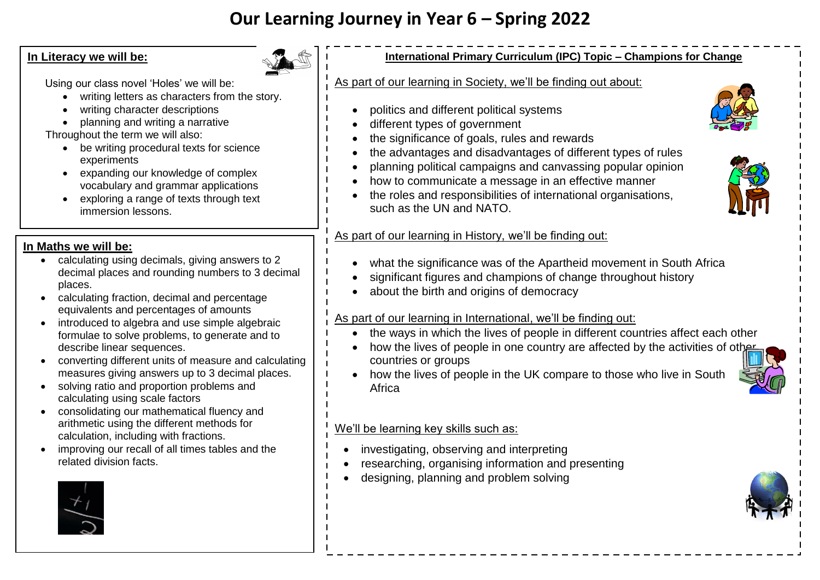# **Our Learning Journey in Year 6 – Spring 2022**

#### **In Literacy we will be:**

Using our class novel 'Holes' we will be:

- writing letters as characters from the story.
- writing character descriptions
- planning and writing a narrative

Throughout the term we will also:

- be writing procedural texts for science experiments
- expanding our knowledge of complex vocabulary and grammar applications
- exploring a range of texts through text immersion lessons.

### **In Maths we will be:**

- calculating using decimals, giving answers to 2 decimal places and rounding numbers to 3 decimal places.
- calculating fraction, decimal and percentage equivalents and percentages of amounts
- introduced to algebra and use simple algebraic formulae to solve problems, to generate and to describe linear sequences.
- converting different units of measure and calculating measures giving answers up to 3 decimal places.
- solving ratio and proportion problems and calculating using scale factors
- consolidating our mathematical fluency and arithmetic using the different methods for calculation, including with fractions.
- improving our recall of all times tables and the related division facts.



#### **International Primary Curriculum (IPC) Topic – Champions for Change**

#### As part of our learning in Society, we'll be finding out about:

- politics and different political systems
- different types of government
- the significance of goals, rules and rewards
- the advantages and disadvantages of different types of rules
- planning political campaigns and canvassing popular opinion
- how to communicate a message in an effective manner
- the roles and responsibilities of international organisations, such as the UN and NATO.

#### As part of our learning in History, we'll be finding out:

- what the significance was of the Apartheid movement in South Africa
- significant figures and champions of change throughout history
- about the birth and origins of democracy

#### As part of our learning in International, we'll be finding out:

- the ways in which the lives of people in different countries affect each other
- how the lives of people in one country are affected by the activities of other countries or groups
- how the lives of people in the UK compare to those who live in South Africa

## We'll be learning key skills such as:

- investigating, observing and interpreting
- researching, organising information and presenting
- designing, planning and problem solving